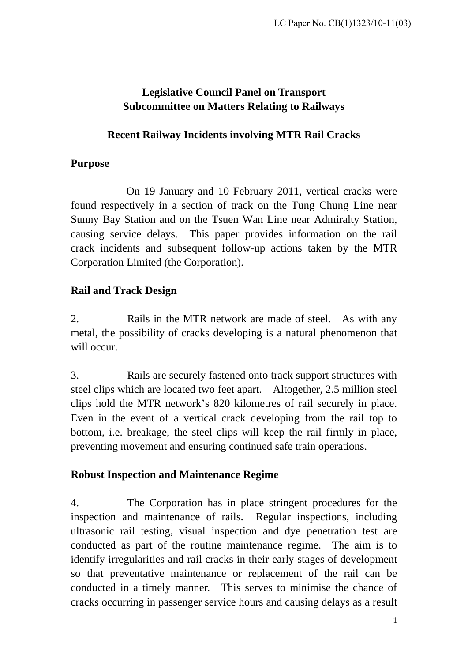# **Legislative Council Panel on Transport Subcommittee on Matters Relating to Railways**

#### **Recent Railway Incidents involving MTR Rail Cracks**

#### **Purpose**

On 19 January and 10 February 2011, vertical cracks were found respectively in a section of track on the Tung Chung Line near Sunny Bay Station and on the Tsuen Wan Line near Admiralty Station, causing service delays. This paper provides information on the rail crack incidents and subsequent follow-up actions taken by the MTR Corporation Limited (the Corporation).

## **Rail and Track Design**

2. Rails in the MTR network are made of steel. As with any metal, the possibility of cracks developing is a natural phenomenon that will occur.

3. Rails are securely fastened onto track support structures with steel clips which are located two feet apart. Altogether, 2.5 million steel clips hold the MTR network's 820 kilometres of rail securely in place. Even in the event of a vertical crack developing from the rail top to bottom, i.e. breakage, the steel clips will keep the rail firmly in place, preventing movement and ensuring continued safe train operations.

#### **Robust Inspection and Maintenance Regime**

4. The Corporation has in place stringent procedures for the inspection and maintenance of rails. Regular inspections, including ultrasonic rail testing, visual inspection and dye penetration test are conducted as part of the routine maintenance regime. The aim is to identify irregularities and rail cracks in their early stages of development so that preventative maintenance or replacement of the rail can be conducted in a timely manner. This serves to minimise the chance of cracks occurring in passenger service hours and causing delays as a result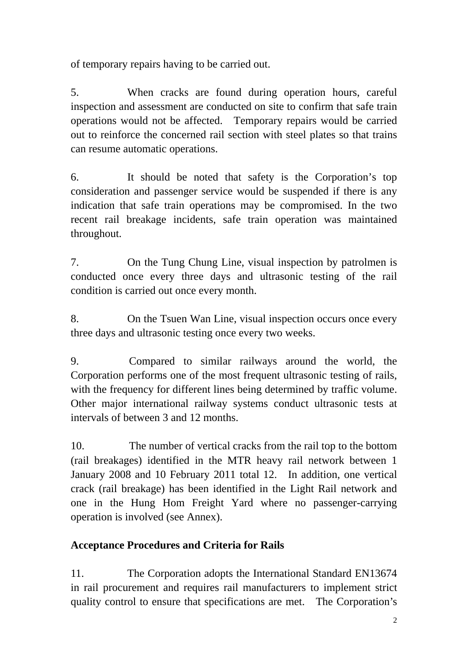of temporary repairs having to be carried out.

5. When cracks are found during operation hours, careful inspection and assessment are conducted on site to confirm that safe train operations would not be affected. Temporary repairs would be carried out to reinforce the concerned rail section with steel plates so that trains can resume automatic operations.

6. It should be noted that safety is the Corporation's top consideration and passenger service would be suspended if there is any indication that safe train operations may be compromised. In the two recent rail breakage incidents, safe train operation was maintained throughout.

7. On the Tung Chung Line, visual inspection by patrolmen is conducted once every three days and ultrasonic testing of the rail condition is carried out once every month.

8. On the Tsuen Wan Line, visual inspection occurs once every three days and ultrasonic testing once every two weeks.

9. Compared to similar railways around the world, the Corporation performs one of the most frequent ultrasonic testing of rails, with the frequency for different lines being determined by traffic volume. Other major international railway systems conduct ultrasonic tests at intervals of between 3 and 12 months.

10. The number of vertical cracks from the rail top to the bottom (rail breakages) identified in the MTR heavy rail network between 1 January 2008 and 10 February 2011 total 12. In addition, one vertical crack (rail breakage) has been identified in the Light Rail network and one in the Hung Hom Freight Yard where no passenger-carrying operation is involved (see Annex).

# **Acceptance Procedures and Criteria for Rails**

11. The Corporation adopts the International Standard EN13674 in rail procurement and requires rail manufacturers to implement strict quality control to ensure that specifications are met. The Corporation's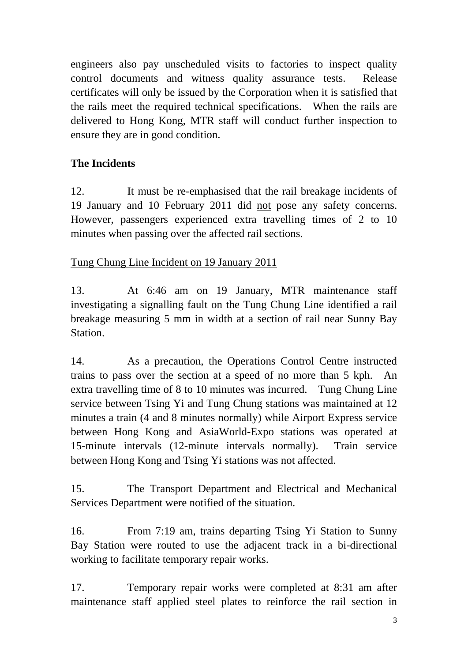engineers also pay unscheduled visits to factories to inspect quality control documents and witness quality assurance tests. Release certificates will only be issued by the Corporation when it is satisfied that the rails meet the required technical specifications. When the rails are delivered to Hong Kong, MTR staff will conduct further inspection to ensure they are in good condition.

# **The Incidents**

12. It must be re-emphasised that the rail breakage incidents of 19 January and 10 February 2011 did not pose any safety concerns. However, passengers experienced extra travelling times of 2 to 10 minutes when passing over the affected rail sections.

Tung Chung Line Incident on 19 January 2011

13. At 6:46 am on 19 January, MTR maintenance staff investigating a signalling fault on the Tung Chung Line identified a rail breakage measuring 5 mm in width at a section of rail near Sunny Bay **Station** 

14. As a precaution, the Operations Control Centre instructed trains to pass over the section at a speed of no more than 5 kph. An extra travelling time of 8 to 10 minutes was incurred. Tung Chung Line service between Tsing Yi and Tung Chung stations was maintained at 12 minutes a train (4 and 8 minutes normally) while Airport Express service between Hong Kong and AsiaWorld-Expo stations was operated at 15-minute intervals (12-minute intervals normally). Train service between Hong Kong and Tsing Yi stations was not affected.

15. The Transport Department and Electrical and Mechanical Services Department were notified of the situation.

16. From 7:19 am, trains departing Tsing Yi Station to Sunny Bay Station were routed to use the adjacent track in a bi-directional working to facilitate temporary repair works.

17. Temporary repair works were completed at 8:31 am after maintenance staff applied steel plates to reinforce the rail section in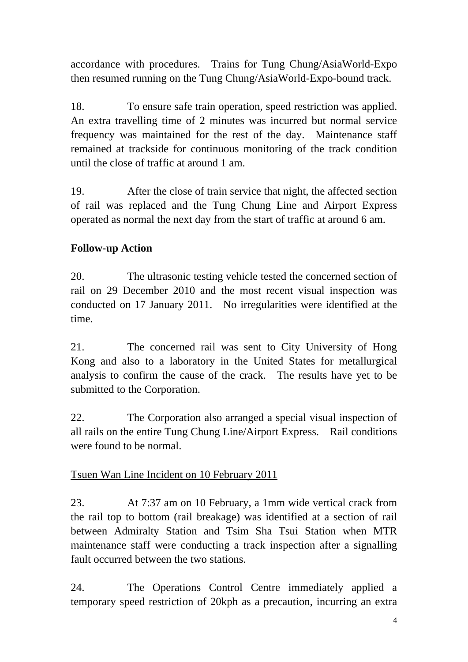accordance with procedures. Trains for Tung Chung/AsiaWorld-Expo then resumed running on the Tung Chung/AsiaWorld-Expo-bound track.

18. To ensure safe train operation, speed restriction was applied. An extra travelling time of 2 minutes was incurred but normal service frequency was maintained for the rest of the day. Maintenance staff remained at trackside for continuous monitoring of the track condition until the close of traffic at around 1 am.

19. After the close of train service that night, the affected section of rail was replaced and the Tung Chung Line and Airport Express operated as normal the next day from the start of traffic at around 6 am.

# **Follow-up Action**

20. The ultrasonic testing vehicle tested the concerned section of rail on 29 December 2010 and the most recent visual inspection was conducted on 17 January 2011. No irregularities were identified at the time.

21. The concerned rail was sent to City University of Hong Kong and also to a laboratory in the United States for metallurgical analysis to confirm the cause of the crack. The results have yet to be submitted to the Corporation.

22. The Corporation also arranged a special visual inspection of all rails on the entire Tung Chung Line/Airport Express. Rail conditions were found to be normal.

#### Tsuen Wan Line Incident on 10 February 2011

23. At 7:37 am on 10 February, a 1mm wide vertical crack from the rail top to bottom (rail breakage) was identified at a section of rail between Admiralty Station and Tsim Sha Tsui Station when MTR maintenance staff were conducting a track inspection after a signalling fault occurred between the two stations.

24. The Operations Control Centre immediately applied a temporary speed restriction of 20kph as a precaution, incurring an extra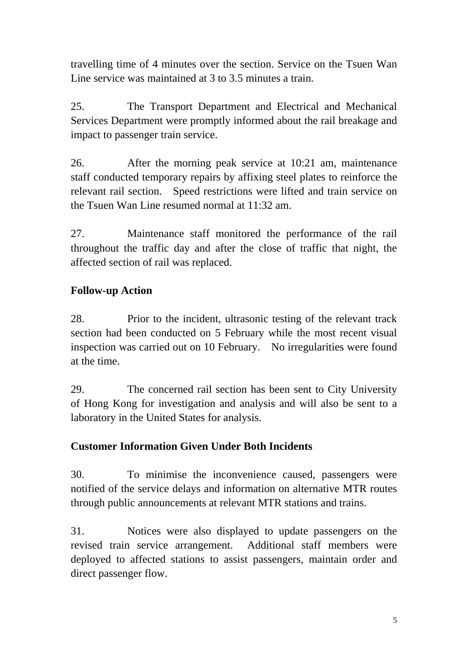travelling time of 4 minutes over the section. Service on the Tsuen Wan Line service was maintained at 3 to 3.5 minutes a train.

25. The Transport Department and Electrical and Mechanical Services Department were promptly informed about the rail breakage and impact to passenger train service.

26. After the morning peak service at 10:21 am, maintenance staff conducted temporary repairs by affixing steel plates to reinforce the relevant rail section. Speed restrictions were lifted and train service on the Tsuen Wan Line resumed normal at 11:32 am.

27. Maintenance staff monitored the performance of the rail throughout the traffic day and after the close of traffic that night, the affected section of rail was replaced.

## **Follow-up Action**

28. Prior to the incident, ultrasonic testing of the relevant track section had been conducted on 5 February while the most recent visual inspection was carried out on 10 February. No irregularities were found at the time.

29. The concerned rail section has been sent to City University of Hong Kong for investigation and analysis and will also be sent to a laboratory in the United States for analysis.

## **Customer Information Given Under Both Incidents**

30. To minimise the inconvenience caused, passengers were notified of the service delays and information on alternative MTR routes through public announcements at relevant MTR stations and trains.

31. Notices were also displayed to update passengers on the revised train service arrangement. Additional staff members were deployed to affected stations to assist passengers, maintain order and direct passenger flow.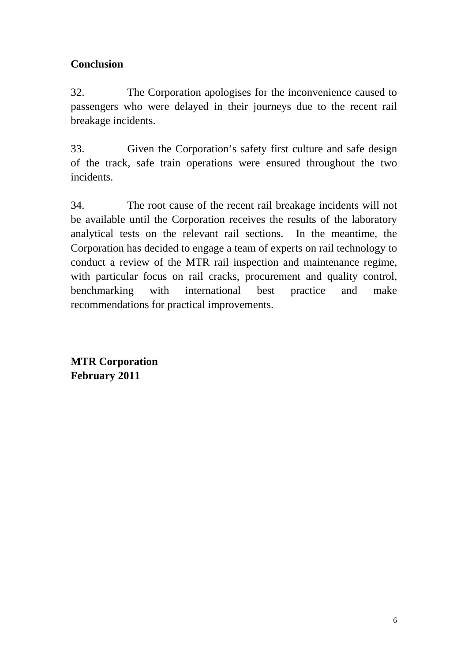# **Conclusion**

32. The Corporation apologises for the inconvenience caused to passengers who were delayed in their journeys due to the recent rail breakage incidents.

33. Given the Corporation's safety first culture and safe design of the track, safe train operations were ensured throughout the two incidents.

34. The root cause of the recent rail breakage incidents will not be available until the Corporation receives the results of the laboratory analytical tests on the relevant rail sections. In the meantime, the Corporation has decided to engage a team of experts on rail technology to conduct a review of the MTR rail inspection and maintenance regime, with particular focus on rail cracks, procurement and quality control, benchmarking with international best practice and make recommendations for practical improvements.

**MTR Corporation February 2011**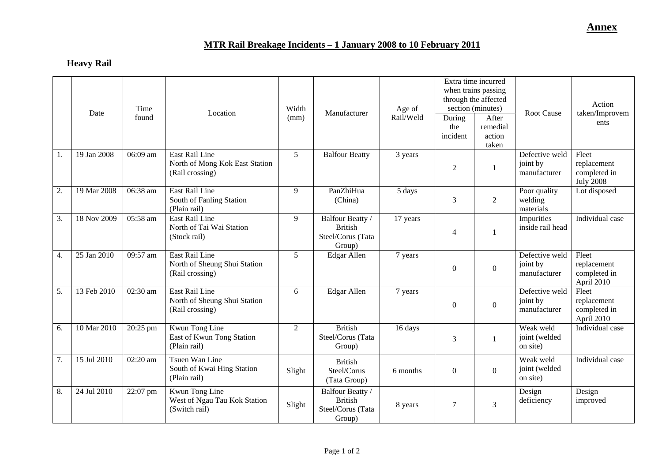# **MTR Rail Breakage Incidents – 1 January 2008 to 10 February 2011**

## **Heavy Rail**

|                  | Date        | Time<br>found | Location                                                            | Width<br>(mm)  | Manufacturer                                                      | Age of<br>Rail/Weld | During<br>the<br>incident | Extra time incurred<br>when trains passing<br>through the affected<br>section (minutes)<br>After<br>remedial<br>action<br>taken | <b>Root Cause</b>                          | Action<br>taken/Improvem<br>ents                         |
|------------------|-------------|---------------|---------------------------------------------------------------------|----------------|-------------------------------------------------------------------|---------------------|---------------------------|---------------------------------------------------------------------------------------------------------------------------------|--------------------------------------------|----------------------------------------------------------|
| 1.               | 19 Jan 2008 | 06:09 am      | East Rail Line<br>North of Mong Kok East Station<br>(Rail crossing) | $\overline{5}$ | <b>Balfour Beatty</b>                                             | 3 years             | $\overline{2}$            | $\mathbf{1}$                                                                                                                    | Defective weld<br>joint by<br>manufacturer | Fleet<br>replacement<br>completed in<br><b>July 2008</b> |
| 2.               | 19 Mar 2008 | 06:38 am      | <b>East Rail Line</b><br>South of Fanling Station<br>(Plain rail)   | 9              | PanZhiHua<br>(China)                                              | 5 days              | 3                         | $\overline{2}$                                                                                                                  | Poor quality<br>welding<br>materials       | Lot disposed                                             |
| 3.               | 18 Nov 2009 | 05:58 am      | East Rail Line<br>North of Tai Wai Station<br>(Stock rail)          | 9              | Balfour Beatty /<br><b>British</b><br>Steel/Corus (Tata<br>Group) | 17 years            | $\overline{4}$            | 1                                                                                                                               | Impurities<br>inside rail head             | Individual case                                          |
| $\overline{4}$ . | 25 Jan 2010 | 09:57 am      | East Rail Line<br>North of Sheung Shui Station<br>(Rail crossing)   | $\mathfrak{S}$ | Edgar Allen                                                       | 7 years             | $\boldsymbol{0}$          | $\mathbf{0}$                                                                                                                    | Defective weld<br>joint by<br>manufacturer | Fleet<br>replacement<br>completed in<br>April 2010       |
| 5.               | 13 Feb 2010 | 02:30 am      | East Rail Line<br>North of Sheung Shui Station<br>(Rail crossing)   | 6              | Edgar Allen                                                       | 7 years             | $\mathbf{0}$              | $\Omega$                                                                                                                        | Defective weld<br>joint by<br>manufacturer | Fleet<br>replacement<br>completed in<br>April 2010       |
| 6.               | 10 Mar 2010 | 20:25 pm      | Kwun Tong Line<br>East of Kwun Tong Station<br>(Plain rail)         | 2              | <b>British</b><br>Steel/Corus (Tata<br>Group)                     | 16 days             | 3                         | 1                                                                                                                               | Weak weld<br>joint (welded<br>on site)     | Individual case                                          |
| 7.               | 15 Jul 2010 | 02:20 am      | Tsuen Wan Line<br>South of Kwai Hing Station<br>(Plain rail)        | Slight         | <b>British</b><br>Steel/Corus<br>(Tata Group)                     | 6 months            | $\boldsymbol{0}$          | $\boldsymbol{0}$                                                                                                                | Weak weld<br>joint (welded<br>on site)     | Individual case                                          |
| 8.               | 24 Jul 2010 | 22:07 pm      | Kwun Tong Line<br>West of Ngau Tau Kok Station<br>(Switch rail)     | Slight         | Balfour Beatty /<br><b>British</b><br>Steel/Corus (Tata<br>Group) | 8 years             | $\tau$                    | 3                                                                                                                               | Design<br>deficiency                       | Design<br>improved                                       |